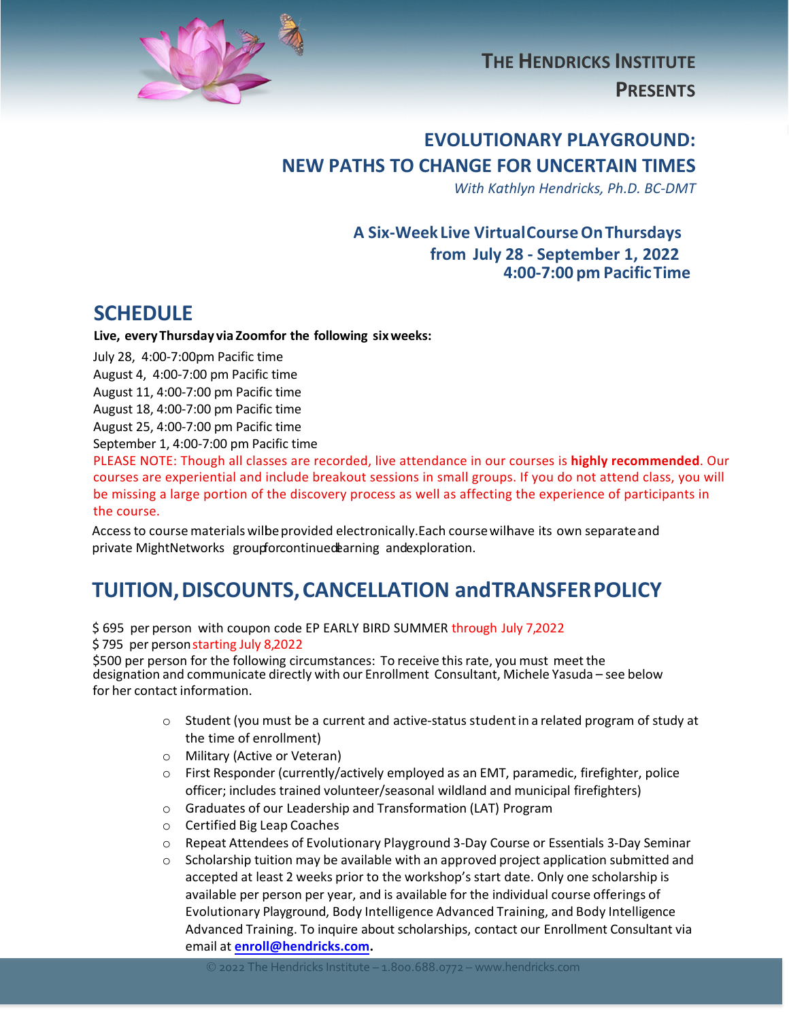

**THE HENDRICKS INSTITUTE PRESENTS**

### **EVOLUTIONARY PLAYGROUND: NEW PATHS TO CHANGE FOR UNCERTAIN TIMES**

*With Kathlyn Hendricks, Ph.D. BC-DMT*

### **A Six-Week Live VirtualCourseOnThursdays from July 28 - September 1, 2022 4:00-7:00 pm PacificTime**

### **SCHEDULE**

**Live, everyThursday via Zoomfor the following sixweeks:**

July 28, 4:00-7:00pm Pacific time August 4, 4:00-7:00 pm Pacific time August 11, 4:00-7:00 pm Pacific time

August 18, 4:00-7:00 pm Pacific time August 25, 4:00-7:00 pm Pacific time

September 1, 4:00-7:00 pm Pacific time

PLEASE NOTE: Though all classes are recorded, live attendance in our courses is **highly recommended**. Our courses are experiential and include breakout sessions in small groups. If you do not attend class, you will be missing a large portion of the discovery process as well as affecting the experience of participants in the course.

Access to course materials wilbe provided electronically.Each course wilhave its own separate and private MightNetworks groupforcontinued earning and exploration.

# **TUITION,DISCOUNTS,CANCELLATION andTRANSFERPOLICY**

\$ 695 per person with coupon code EP EARLY BIRD SUMMER through July 7,2022 \$795 per person starting July 8,2022

\$500 per person for the following circumstances: To receive this rate, you must meet the designation and communicate directly with our Enrollment Consultant, Michele Yasuda – see below for her contact information.

- $\circ$  Student (you must be a current and active-status student in a related program of study at the time of enrollment)
- o Military (Active or Veteran)
- o First Responder (currently/actively employed as an EMT, paramedic, firefighter, police officer; includes trained volunteer/seasonal wildland and municipal firefighters)
- o Graduates of our Leadership and Transformation (LAT) Program
- o Certified Big Leap Coaches
- o Repeat Attendees of Evolutionary Playground 3-Day Course or Essentials 3-Day Seminar
- $\circ$  Scholarship tuition may be available with an approved project application submitted and accepted at least 2 weeks prior to the workshop's start date. Only one scholarship is available per person per year, and is available for the individual course offerings of Evolutionary Playground, Body Intelligence Advanced Training, and Body Intelligence Advanced Training. To inquire about scholarships, contact our Enrollment Consultant via email at **enroll@hendricks.com.**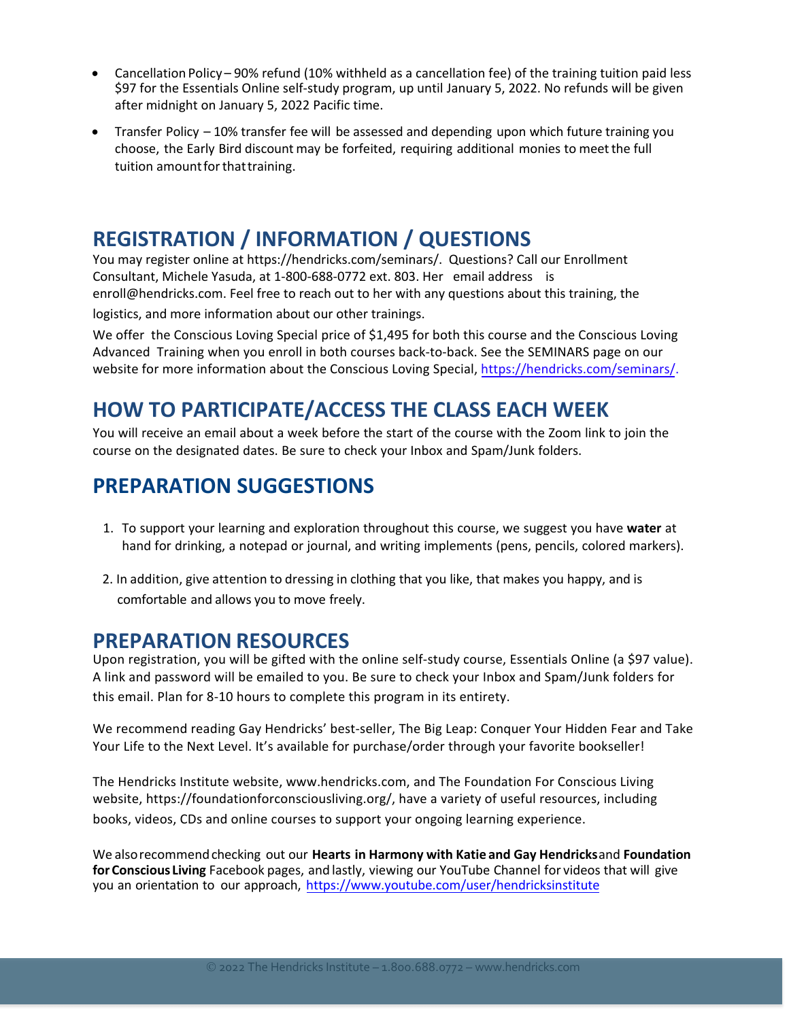- Cancellation Policy 90% refund (10% withheld as a cancellation fee) of the training tuition paid less \$97 for the Essentials Online self-study program, up until January 5, 2022. No refunds will be given after midnight on January 5, 2022 Pacific time.
- Transfer Policy 10% transfer fee will be assessed and depending upon which future training you choose, the Early Bird discount may be forfeited, requiring additional monies to meetthe full tuition amount for that training.

## **REGISTRATION / INFORMATION / QUESTIONS**

You may register online at https://hendricks.com/seminars/. Questions? Call our Enrollment Consultant, Michele Yasuda, at 1-800-688-0772 ext. 803. Her email address is enroll@hendricks.com. Feel free to reach out to her with any questions about this training, the logistics, and more information about our other trainings.

We offer the Conscious Loving Special price of \$1,495 for both this course and the Conscious Loving Advanced Training when you enroll in both courses back-to-back. See the SEMINARS page on our website for more information about the Conscious Loving Special,<https://hendricks.com/seminars/>.

## **HOW TO PARTICIPATE/ACCESS THE CLASS EACH WEEK**

You will receive an email about a week before the start of the course with the Zoom link to join the course on the designated dates. Be sure to check your Inbox and Spam/Junk folders.

## **PREPARATION SUGGESTIONS**

- 1. To support your learning and exploration throughout this course, we suggest you have **water** at hand for drinking, a notepad or journal, and writing implements (pens, pencils, colored markers).
- 2. In addition, give attention to dressing in clothing that you like, that makes you happy, and is comfortable and allows you to move freely.

### **PREPARATION RESOURCES**

Upon registration, you will be gifted with the online self-study course, Essentials Online (a \$97 value). A link and password will be emailed to you. Be sure to check your Inbox and Spam/Junk folders for this email. Plan for 8-10 hours to complete this program in its entirety.

We recommend reading Gay Hendricks' best-seller, The Big Leap: Conquer Your Hidden Fear and Take Your Life to the Next Level. It's available for purchase/order through your favorite bookseller!

The Hendricks Institute website, www.hendricks.com, and The Foundation For Conscious Living website, https://foundationforconsciousliving.org/, have a variety of useful resources, including books, videos, CDs and online courses to support your ongoing learning experience.

We alsorecommendchecking out our **Hearts in Harmony with Katie and Gay Hendricks**and **Foundation for Conscious Living** Facebook pages, and lastly, viewing our YouTube Channel for videos that will give you an orientation to our approach, https://www.youtube.com/user/hendricksinstitute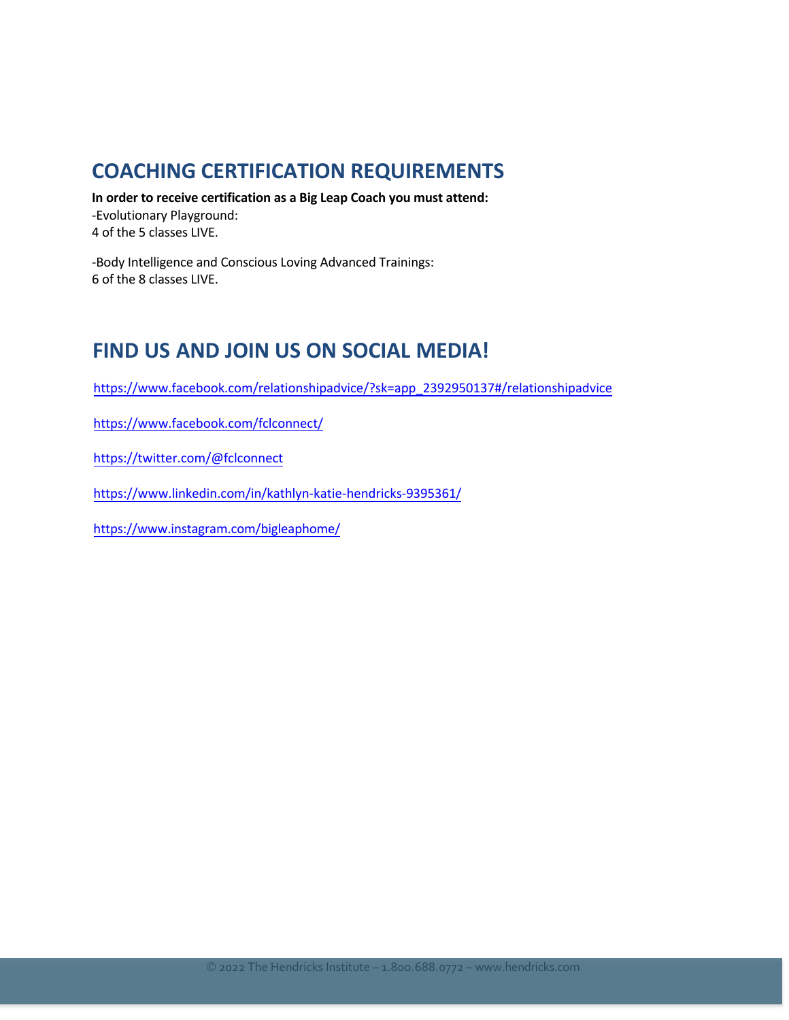## **COACHING CERTIFICATION REQUIREMENTS**

In order to receive certification as a Big Leap Coach you must attend: -Evolutionary Playground: 4 of the 5 classes LIVE.

-Body Intelligence and Conscious Loving Advanced Trainings: 6 of the 8 classes LIVE.

## **FIND US AND JOIN US ON SOCIAL MEDIA!**

https://www.facebook.com/relationshipadvice/?sk=app\_2392950137#/relationshipadvice

https://www.facebook.com/fclconnect/

https://twitter.com/@fclconnect

https://www.linkedin.com/in/kathlyn-katie-hendricks-9395361/

https://www.instagram.com/bigleaphome/